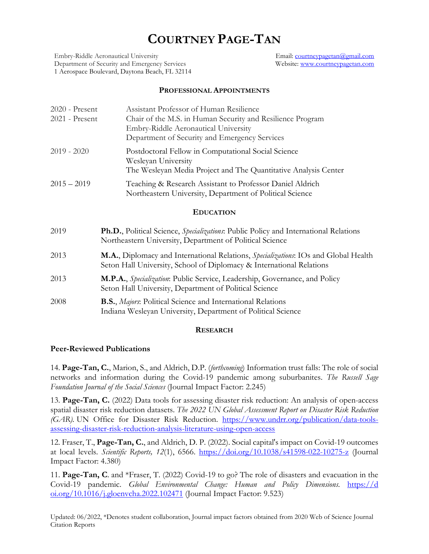# **COURTNEY PAGE-TAN**

Embry-Riddle Aeronautical University Department of Security and Emergency Services 1 Aerospace Boulevard, Daytona Beach, FL 32114 Email: [courtneypagetan@gmail.com](mailto:courtneypagetan@gmail.com) Website: [www.courtneypagetan.com](http://www.courtneypagetan.com/)

### **PROFESSIONAL APPOINTMENTS**

| $2020$ - Present<br>2021 - Present | Assistant Professor of Human Resilience<br>Chair of the M.S. in Human Security and Resilience Program<br>Embry-Riddle Aeronautical University<br>Department of Security and Emergency Services |  |  |  |
|------------------------------------|------------------------------------------------------------------------------------------------------------------------------------------------------------------------------------------------|--|--|--|
| $2019 - 2020$                      | Postdoctoral Fellow in Computational Social Science<br>Wesleyan University<br>The Wesleyan Media Project and The Quantitative Analysis Center                                                  |  |  |  |
| $2015 - 2019$                      | Teaching & Research Assistant to Professor Daniel Aldrich<br>Northeastern University, Department of Political Science                                                                          |  |  |  |
| <b>EDUCATION</b>                   |                                                                                                                                                                                                |  |  |  |
| 2019                               | Ph.D., Political Science, Specializations: Public Policy and International Relations<br>Northeastern University, Department of Political Science                                               |  |  |  |
| 2013                               | M.A., Diplomacy and International Relations, Specializations: IOs and Global Health<br>Seton Hall University, School of Diplomacy & International Relations                                    |  |  |  |
| 2013                               | M.P.A., Specialization: Public Service, Leadership, Governance, and Policy<br>Seton Hall University, Department of Political Science                                                           |  |  |  |
| 2008                               | <b>B.S.</b> , <i>Majors</i> : Political Science and International Relations<br>Indiana Wesleyan University, Department of Political Science                                                    |  |  |  |
|                                    |                                                                                                                                                                                                |  |  |  |

### **RESEARCH**

# **Peer-Reviewed Publications**

14. **Page-Tan, C.**, Marion, S., and Aldrich, D.P. (*forthcoming*) Information trust falls: The role of social networks and information during the Covid-19 pandemic among suburbanites. *The Russell Sage Foundation Journal of the Social Sciences* (Journal Impact Factor: 2.245)

13. **Page-Tan, C.** (2022) Data tools for assessing disaster risk reduction: An analysis of open-access spatial disaster risk reduction datasets. *The 2022 UN Global Assessment Report on Disaster Risk Reduction (GAR)*. UN Office for Disaster Risk Reduction. [https://www.undrr.org/publication/data-tools](https://www.undrr.org/publication/data-tools-assessing-disaster-risk-reduction-analysis-literature-using-open-access)[assessing-disaster-risk-reduction-analysis-literature-using-open-access](https://www.undrr.org/publication/data-tools-assessing-disaster-risk-reduction-analysis-literature-using-open-access)

12. Fraser, T., **Page-Tan, C.**, and Aldrich, D. P. (2022). Social capital's impact on Covid-19 outcomes at local levels. *Scientific Reports, 12*(1), 6566.<https://doi.org/10.1038/s41598-022-10275-z> (Journal Impact Factor: 4.380)

11. **Page-Tan, C**. and \*Fraser, T. (2022) Covid-19 to go? The role of disasters and evacuation in the Covid-19 pandemic. *Global Environmental Change: Human and Policy Dimensions*. [https://d](https://doi.org/10.1016/j.gloenvcha.2022.102471) [oi.org/10.1016/j.gloenvcha.2022.102471](https://doi.org/10.1016/j.gloenvcha.2022.102471) (Journal Impact Factor: 9.523)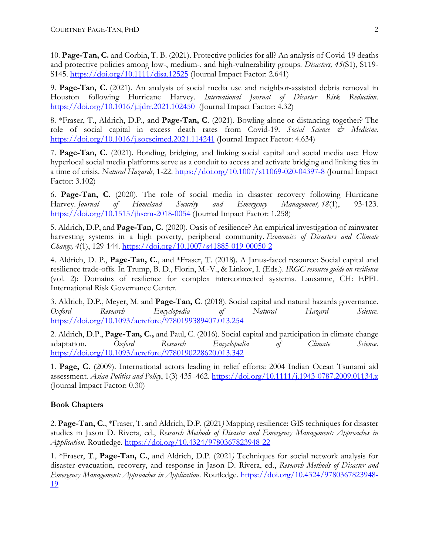10. **Page-Tan, C.** and Corbin, T. B. (2021). Protective policies for all? An analysis of Covid-19 deaths and protective policies among low-, medium-, and high-vulnerability groups. *Disasters, 45*(S1), S119- S145.<https://doi.org/10.1111/disa.12525> (Journal Impact Factor: 2.641)

9. **Page-Tan, C.** (2021). An analysis of social media use and neighbor-assisted debris removal in Houston following Hurricane Harvey. *International Journal of Disaster Risk Reduction*. [https://doi.org/10.1016/j.ijdrr.2021.102450](https://doi.org/10.1016/j.ijdrr.2021.102450%C2%A0) (Journal Impact Factor: 4.32)

8. \*Fraser, T., Aldrich, D.P., and **Page-Tan, C**. (2021). Bowling alone or distancing together? The role of social capital in excess death rates from Covid-19. *Social Science & Medicine*. [https://doi.org/10.1016/j.socscimed.2021.114241](https://doi.org/10.1016/j.socscimed.2021.114241%E2%80%8B) (Journal Impact Factor: 4.634)

7. **Page-Tan, C.** (2021). Bonding, bridging, and linking social capital and social media use: How hyperlocal social media platforms serve as a conduit to access and activate bridging and linking ties in a time of crisis. *Natural Hazards*, 1-22.<https://doi.org/10.1007/s11069-020-04397-8> (Journal Impact Factor: 3.102)

6. **Page-Tan, C**. (2020). The role of social media in disaster recovery following Hurricane Harvey. *Journal of Homeland Security and Emergency Management, 18*(1), 93-123. <https://doi.org/10.1515/jhsem-2018-0054> (Journal Impact Factor: 1.258)

5. Aldrich, D.P, and **Page-Tan, C.** (2020). Oasis of resilience? An empirical investigation of rainwater harvesting systems in a high poverty, peripheral community. *Economics of Disasters and Climate Change, 4*(1), 129-144. <https://doi.org/10.1007/s41885-019-00050-2>

4. Aldrich, D. P., **Page-Tan, C.**, and \*Fraser, T. (2018). A Janus-faced resource: Social capital and resilience trade-offs. In Trump, B. D., Florin, M.-V., & Linkov, I. (Eds.). *IRGC resource guide on resilience* (vol. 2): Domains of resilience for complex interconnected systems. Lausanne, CH: EPFL International Risk Governance Center.

3. Aldrich, D.P., Meyer, M. and **Page-Tan, C**. (2018). [Social capital and natural hazards governance.](http://oxfordre.com/naturalhazardscience/view/10.1093/acrefore/9780199389407.001.0001/acrefore-9780199389407-e-254) *Oxford Research Encyclopedia of Natural Hazard Science.*  <https://doi.org/10.1093/acrefore/9780199389407.013.254>

2. Aldrich, D.P., **Page-Tan, C.,** and Paul, C. (2016). Social capital and participation in climate change adaptation. *Oxford Research Encyclopedia of Climate Science*. <https://doi.org/10.1093/acrefore/9780190228620.013.342>

1. **Page, C.** (2009). International actors leading in relief efforts: 2004 Indian Ocean Tsunami aid assessment. *Asian Politics and Policy*, 1(3) 435–462.<https://doi.org/10.1111/j.1943-0787.2009.01134.x> (Journal Impact Factor: 0.30)

# **Book Chapters**

2. **Page-Tan, C.**, \*Fraser, T. and Aldrich, D.P. (2021*)* Mapping resilience: GIS techniques for disaster studies in Jason D. Rivera, ed., *Research Methods of Disaster and Emergency Management: Approaches in Application*. Routledge.<https://doi.org/10.4324/9780367823948-22>

1. \*Fraser, T., **Page-Tan, C.**, and Aldrich, D.P. (2021*)* Techniques for social network analysis for disaster evacuation, recovery, and response in Jason D. Rivera, ed., *Research Methods of Disaster and Emergency Management: Approaches in Application*. Routledge. [https://doi.org/10.4324/9780367823948-](https://doi.org/10.4324/9780367823948-19) [19](https://doi.org/10.4324/9780367823948-19)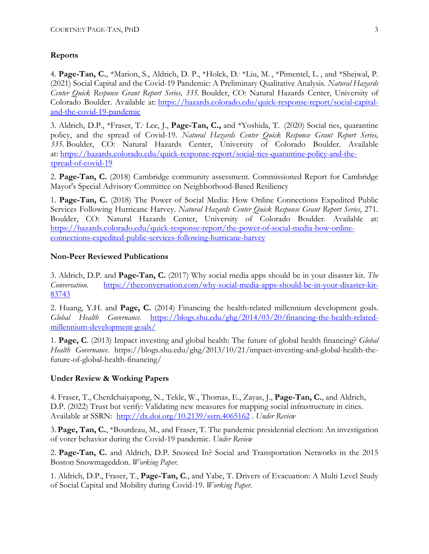# **Reports**

4. **Page-Tan, C.**, \*Marion, S., Aldrich, D. P., \*Holck, D., \*Liu, M. , \*Pimentel, L. , and \*Shejwal, P. (2021) Social Capital and the Covid-19 Pandemic: A Preliminary Qualitative Analysis. *Natural Hazards Center Quick Response Grant Report Series, 335.* Boulder, CO: Natural Hazards Center, University of Colorado Boulder. Available at: [https://hazards.colorado.edu/quick-response-report/social-capital](https://hazards.colorado.edu/quick-response-report/social-capital-and-the-covid-19-pandemic)[and-the-covid-19-pandemic](https://hazards.colorado.edu/quick-response-report/social-capital-and-the-covid-19-pandemic)

3. Aldrich, D.P., \*Fraser, T., Lee, J., **Page-Tan, C.,** and \*Yoshida, T. (2020) Social ties, quarantine policy, and the spread of Covid-19. *Natural Hazards Center Quick Response Grant Report Series, 335.* Boulder, CO: Natural Hazards Center, University of Colorado Boulder. Available at: [https://hazards.colorado.edu/quick-response-report/social-ties-quarantine-policy-and-the](https://hazards.colorado.edu/quick-response-report/social-ties-quarantine-policy-and-the-spread-of-covid-19)[spread-of-covid-19](https://hazards.colorado.edu/quick-response-report/social-ties-quarantine-policy-and-the-spread-of-covid-19)

2. **Page-Tan, C.** (2018) Cambridge community assessment. Commissioned Report for Cambridge Mayor's Special Advisory Committee on Neighborhood-Based Resiliency

1. **Page-Tan, C.** (2018) The Power of Social Media: How Online Connections Expedited Public Services Following Hurricane Harvey. *Natural Hazards Center Quick Response Grant Report Series*, 271. Boulder, CO: Natural Hazards Center, University of Colorado Boulder. Available at: [https://hazards.colorado.edu/quick-response-report/the-power-of-social-media-how-online](https://hazards.colorado.edu/quick-response-report/the-power-of-social-media-how-online-connections-expedited-public-services-following-hurricane-harvey)[connections-expedited-public-services-following-hurricane-harvey](https://hazards.colorado.edu/quick-response-report/the-power-of-social-media-how-online-connections-expedited-public-services-following-hurricane-harvey)

# **Non-Peer Reviewed Publications**

3. Aldrich, D.P. and **Page-Tan, C.** (2017) Why social media apps should be in your disaster kit. *The Conversation*. [https://theconversation.com/why-social-media-apps-should-be-in-your-disaster-kit-](https://theconversation.com/why-social-media-apps-should-be-in-your-disaster-kit-83743)[83743](https://theconversation.com/why-social-media-apps-should-be-in-your-disaster-kit-83743)

2. Huang, Y.H. and **Page, C.** (2014) Financing the health-related millennium development goals. *Global Health Governance*. [https://blogs.shu.edu/ghg/2014/03/20/financing-the-health-related](https://blogs.shu.edu/ghg/2014/03/20/financing-the-health-related-millennium-development-goals/)[millennium-development-goals/](https://blogs.shu.edu/ghg/2014/03/20/financing-the-health-related-millennium-development-goals/)

1. **Page, C**. (2013) Impact investing and global health: The future of global health financing? *Global Health Governance*. https://blogs.shu.edu/ghg/2013/10/21/impact-investing-and-global-health-thefuture-of-global-health-financing/

# **Under Review & Working Papers**

4. Fraser, T., Cherdchaiyapong, N., Tekle, W., Thomas, E., Zayas, J., **Page-Tan, C.**, and Aldrich, D.P. (2022) Trust but verify: Validating new measures for mapping social infrastructure in cities. Available at SSRN: [http://dx.doi.org/10.2139/ssrn.4065162](https://dx.doi.org/10.2139/ssrn.4065162) . *Under Review*

3. **Page, Tan, C.**, \*Bourdeau, M., and Fraser, T. The pandemic presidential election: An investigation of voter behavior during the Covid-19 pandemic. *Under Review*

2. **Page-Tan, C.** and Aldrich, D.P. Snowed In? Social and Transportation Networks in the 2015 Boston Snowmageddon. *Working Paper.*

1. Aldrich, D.P., Fraser, T., **Page-Tan, C**., and Yabe, T. Drivers of Evacuation: A Multi Level Study of Social Capital and Mobility during Covid-19. *Working Paper.*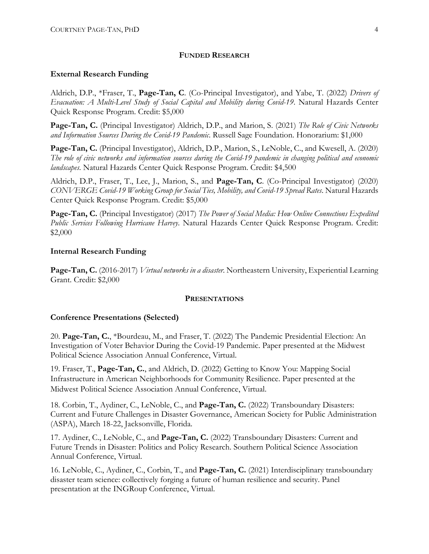### **FUNDED RESEARCH**

### **External Research Funding**

Aldrich, D.P., \*Fraser, T., **Page-Tan, C**. (Co-Principal Investigator), and Yabe, T. (2022) *Drivers of Evacuation: A Multi-Level Study of Social Capital and Mobility during Covid-19*. Natural Hazards Center Quick Response Program. Credit: \$5,000

**Page-Tan, C.** (Principal Investigator) Aldrich, D.P., and Marion, S. (2021) *The Role of Civic Networks and Information Sources During the Covid-19 Pandemic*. Russell Sage Foundation. Honorarium: \$1,000

**Page-Tan, C.** (Principal Investigator), Aldrich, D.P., Marion, S., LeNoble, C., and Kwesell, A. (2020) *The role of civic networks and information sources during the Covid-19 pandemic in changing political and economic landscapes*. Natural Hazards Center Quick Response Program. Credit: \$4,500

Aldrich, D.P., Fraser, T., Lee, J., Marion, S., and **Page-Tan, C**. (Co-Principal Investigator) (2020) *CONVERGE Covid-19 Working Group for Social Ties, Mobility, and Covid-19 Spread Rates*. Natural Hazards Center Quick Response Program. Credit: \$5,000

**Page-Tan, C.** (Principal Investigator) (2017) *The Power of Social Media: How Online Connections Expedited Public Services Following Hurricane Harvey*. Natural Hazards Center Quick Response Program. Credit: \$2,000

### **Internal Research Funding**

**Page-Tan, C.** (2016-2017) *Virtual networks in a disaster*. Northeastern University, Experiential Learning Grant. Credit: \$2,000

### **PRESENTATIONS**

### **Conference Presentations (Selected)**

20. **Page-Tan, C.**, \*Bourdeau, M., and Fraser, T. (2022) The Pandemic Presidential Election: An Investigation of Voter Behavior During the Covid-19 Pandemic. Paper presented at the Midwest Political Science Association Annual Conference, Virtual.

19. Fraser, T., **Page-Tan, C.**, and Aldrich, D. (2022) Getting to Know You: Mapping Social Infrastructure in American Neighborhoods for Community Resilience. Paper presented at the Midwest Political Science Association Annual Conference, Virtual.

18. Corbin, T., Aydiner, C., LeNoble, C., and **Page-Tan, C.** (2022) Transboundary Disasters: Current and Future Challenges in Disaster Governance, American Society for Public Administration (ASPA), March 18-22, Jacksonville, Florida.

17. Aydiner, C., LeNoble, C., and **Page-Tan, C.** (2022) Transboundary Disasters: Current and Future Trends in Disaster: Politics and Policy Research. Southern Political Science Association Annual Conference, Virtual.

16. LeNoble, C., Aydiner, C., Corbin, T., and **Page-Tan, C.** (2021) Interdisciplinary transboundary disaster team science: collectively forging a future of human resilience and security. Panel presentation at the INGRoup Conference, Virtual.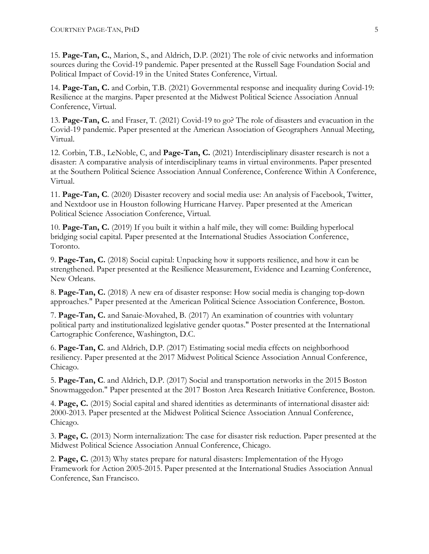15. **Page-Tan, C.**, Marion, S., and Aldrich, D.P. (2021) The role of civic networks and information sources during the Covid-19 pandemic. Paper presented at the Russell Sage Foundation Social and Political Impact of Covid-19 in the United States Conference, Virtual.

14. **Page-Tan, C.** and Corbin, T.B. (2021) Governmental response and inequality during Covid-19: Resilience at the margins. Paper presented at the Midwest Political Science Association Annual Conference, Virtual.

13. **Page-Tan, C.** and Fraser, T. (2021) Covid-19 to go? The role of disasters and evacuation in the Covid-19 pandemic. Paper presented at the American Association of Geographers Annual Meeting, Virtual.

12. Corbin, T.B., LeNoble, C, and **Page-Tan, C.** (2021) Interdisciplinary disaster research is not a disaster: A comparative analysis of interdisciplinary teams in virtual environments. Paper presented at the Southern Political Science Association Annual Conference, Conference Within A Conference, Virtual.

11. **Page-Tan, C**. (2020) Disaster recovery and social media use: An analysis of Facebook, Twitter, and Nextdoor use in Houston following Hurricane Harvey. Paper presented at the American Political Science Association Conference, Virtual.

10. **Page-Tan, C.** (2019) If you built it within a half mile, they will come: Building hyperlocal bridging social capital. Paper presented at the International Studies Association Conference, Toronto.

9. **Page-Tan, C.** (2018) Social capital: Unpacking how it supports resilience, and how it can be strengthened. Paper presented at the Resilience Measurement, Evidence and Learning Conference, New Orleans.

8. **Page-Tan, C.** (2018) A new era of disaster response: How social media is changing top-down approaches." Paper presented at the American Political Science Association Conference, Boston.

7. **Page-Tan, C.** and Sanaie-Movahed, B. (2017) An examination of countries with voluntary political party and institutionalized legislative gender quotas." Poster presented at the International Cartographic Conference, Washington, D.C.

6. **Page-Tan, C**. and Aldrich, D.P. (2017) Estimating social media effects on neighborhood resiliency. Paper presented at the 2017 Midwest Political Science Association Annual Conference, Chicago.

5. **Page-Tan, C**. and Aldrich, D.P. (2017) Social and transportation networks in the 2015 Boston Snowmaggedon." Paper presented at the 2017 Boston Area Research Initiative Conference, Boston.

4. **Page, C.** (2015) Social capital and shared identities as determinants of international disaster aid: 2000-2013. Paper presented at the Midwest Political Science Association Annual Conference, Chicago.

3. **Page, C.** (2013) Norm internalization: The case for disaster risk reduction. Paper presented at the Midwest Political Science Association Annual Conference, Chicago.

2. **Page, C.** (2013) Why states prepare for natural disasters: Implementation of the Hyogo Framework for Action 2005-2015. Paper presented at the International Studies Association Annual Conference, San Francisco.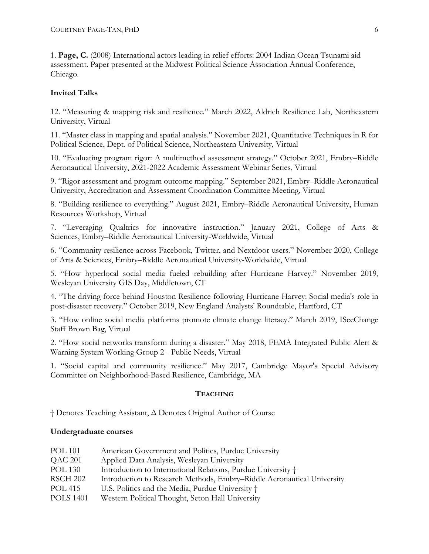1. **Page, C.** (2008) International actors leading in relief efforts: 2004 Indian Ocean Tsunami aid assessment. Paper presented at the Midwest Political Science Association Annual Conference, Chicago.

# **Invited Talks**

12. "Measuring & mapping risk and resilience." March 2022, Aldrich Resilience Lab, Northeastern University, Virtual

11. "Master class in mapping and spatial analysis." November 2021, Quantitative Techniques in R for Political Science, Dept. of Political Science, Northeastern University, Virtual

10. "Evaluating program rigor: A multimethod assessment strategy." October 2021, Embry–Riddle Aeronautical University, 2021-2022 Academic Assessment Webinar Series, Virtual

9. "Rigor assessment and program outcome mapping." September 2021, Embry–Riddle Aeronautical University, Accreditation and Assessment Coordination Committee Meeting, Virtual

8. "Building resilience to everything." August 2021, Embry–Riddle Aeronautical University, Human Resources Workshop, Virtual

7. "Leveraging Qualtrics for innovative instruction." January 2021, College of Arts & Sciences, Embry–Riddle Aeronautical University-Worldwide, Virtual

6. "Community resilience across Facebook, Twitter, and Nextdoor users." November 2020, College of Arts & Sciences, Embry–Riddle Aeronautical University-Worldwide, Virtual

5. "How hyperlocal social media fueled rebuilding after Hurricane Harvey." November 2019, Wesleyan University GIS Day, Middletown, CT

4. "The driving force behind Houston Resilience following Hurricane Harvey: Social media's role in post-disaster recovery." October 2019, New England Analysts' Roundtable, Hartford, CT

3. "How online social media platforms promote climate change literacy." March 2019, ISeeChange Staff Brown Bag, Virtual

2. "How social networks transform during a disaster." May 2018, FEMA Integrated Public Alert & Warning System Working Group 2 - Public Needs, Virtual

1. "Social capital and community resilience." May 2017, Cambridge Mayor's Special Advisory Committee on Neighborhood-Based Resilience, Cambridge, MA

# **TEACHING**

† Denotes Teaching Assistant, Δ Denotes Original Author of Course

# **Undergraduate courses**

| <b>POL 101</b>   | American Government and Politics, Purdue University                    |
|------------------|------------------------------------------------------------------------|
| QAC 201          | Applied Data Analysis, Wesleyan University                             |
| <b>POL 130</b>   | Introduction to International Relations, Purdue University †           |
| <b>RSCH 202</b>  | Introduction to Research Methods, Embry-Riddle Aeronautical University |
| POL 415          | U.S. Politics and the Media, Purdue University †                       |
| <b>POLS 1401</b> | Western Political Thought, Seton Hall University                       |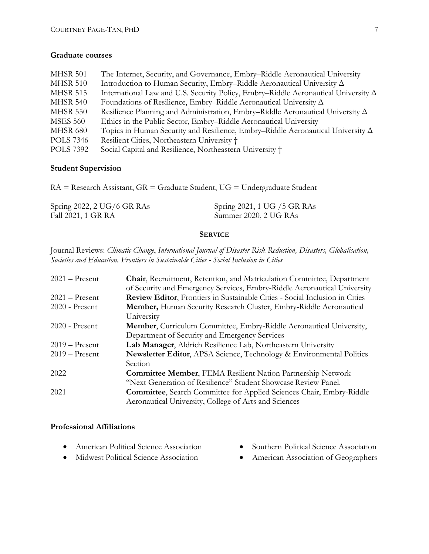## **Graduate courses**

| <b>MHSR 501</b>  | The Internet, Security, and Governance, Embry-Riddle Aeronautical University              |
|------------------|-------------------------------------------------------------------------------------------|
| <b>MHSR 510</b>  | Introduction to Human Security, Embry–Riddle Aeronautical University $\Delta$             |
| <b>MHSR 515</b>  | International Law and U.S. Security Policy, Embry-Riddle Aeronautical University $\Delta$ |
| <b>MHSR 540</b>  | Foundations of Resilience, Embry–Riddle Aeronautical University $\Delta$                  |
| <b>MHSR 550</b>  | Resilience Planning and Administration, Embry-Riddle Aeronautical University $\Delta$     |
| <b>MSES 560</b>  | Ethics in the Public Sector, Embry–Riddle Aeronautical University                         |
| <b>MHSR 680</b>  | Topics in Human Security and Resilience, Embry-Riddle Aeronautical University $\Delta$    |
| <b>POLS</b> 7346 | Resilient Cities, Northeastern University †                                               |
| <b>POLS</b> 7392 | Social Capital and Resilience, Northeastern University †                                  |

### **Student Supervision**

RA = Research Assistant, GR = Graduate Student, UG = Undergraduate Student

| Spring 2022, 2 UG/6 GR RAs | Spring 2021, 1 UG / 5 GR RAs |
|----------------------------|------------------------------|
| Fall 2021, 1 GR RA         | Summer 2020, 2 UG RAs        |

### **SERVICE**

Journal Reviews: *Climatic Change*, *International Journal of Disaster Risk Reduction, Disasters, Globalisation, Societies and Education, Frontiers in Sustainable Cities - Social Inclusion in Cities*

| $2021 -$ Present | Chair, Recruitment, Retention, and Matriculation Committee, Department          |  |  |
|------------------|---------------------------------------------------------------------------------|--|--|
|                  | of Security and Emergency Services, Embry-Riddle Aeronautical University        |  |  |
| $2021 -$ Present | Review Editor, Frontiers in Sustainable Cities - Social Inclusion in Cities     |  |  |
| 2020 - Present   | Member, Human Security Research Cluster, Embry-Riddle Aeronautical              |  |  |
|                  | University                                                                      |  |  |
| 2020 - Present   | Member, Curriculum Committee, Embry-Riddle Aeronautical University,             |  |  |
|                  | Department of Security and Emergency Services                                   |  |  |
| $2019 -$ Present | Lab Manager, Aldrich Resilience Lab, Northeastern University                    |  |  |
| $2019 -$ Present | <b>Newsletter Editor, APSA Science, Technology &amp; Environmental Politics</b> |  |  |
|                  | Section                                                                         |  |  |
| 2022             | <b>Committee Member, FEMA Resilient Nation Partnership Network</b>              |  |  |
|                  | "Next Generation of Resilience" Student Showcase Review Panel.                  |  |  |
| 2021             | <b>Committee, Search Committee for Applied Sciences Chair, Embry-Riddle</b>     |  |  |
|                  | Aeronautical University, College of Arts and Sciences                           |  |  |

### **Professional Affiliations**

- American Political Science Association
- Midwest Political Science Association
- Southern Political Science Association
- American Association of Geographers